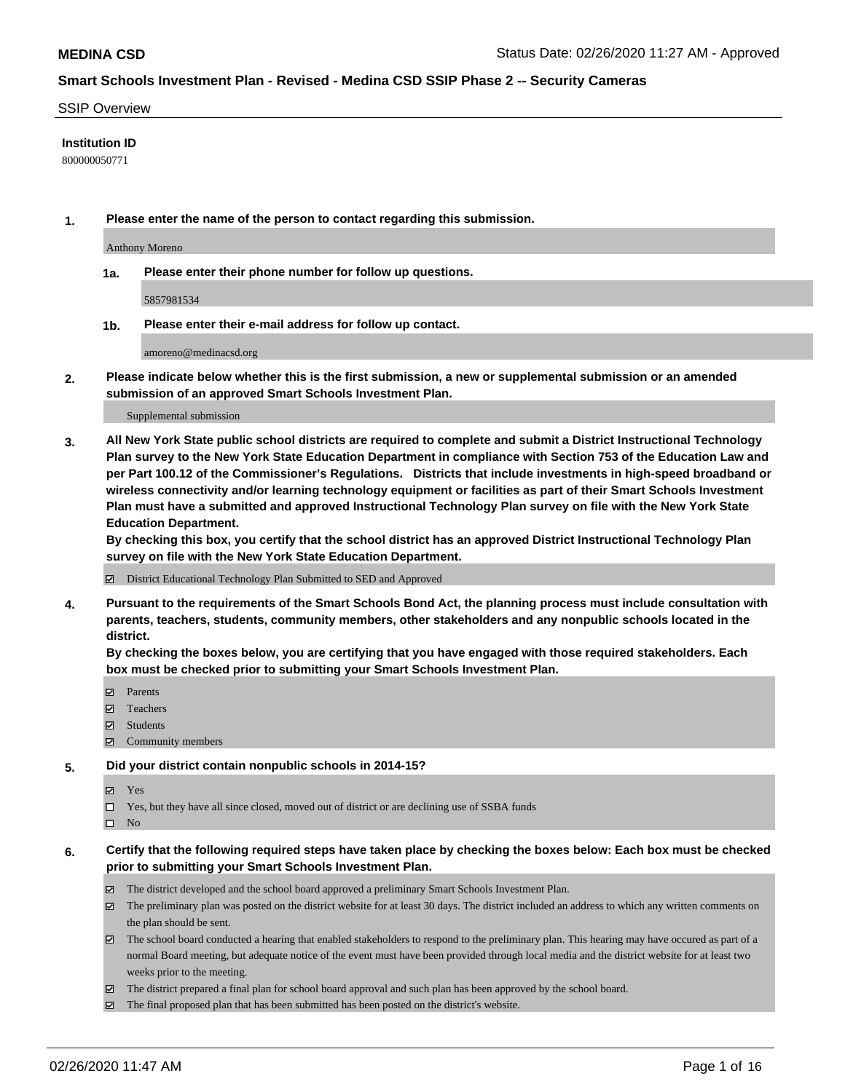#### SSIP Overview

### **Institution ID**

800000050771

**1. Please enter the name of the person to contact regarding this submission.**

Anthony Moreno

**1a. Please enter their phone number for follow up questions.**

5857981534

**1b. Please enter their e-mail address for follow up contact.**

amoreno@medinacsd.org

**2. Please indicate below whether this is the first submission, a new or supplemental submission or an amended submission of an approved Smart Schools Investment Plan.**

#### Supplemental submission

**3. All New York State public school districts are required to complete and submit a District Instructional Technology Plan survey to the New York State Education Department in compliance with Section 753 of the Education Law and per Part 100.12 of the Commissioner's Regulations. Districts that include investments in high-speed broadband or wireless connectivity and/or learning technology equipment or facilities as part of their Smart Schools Investment Plan must have a submitted and approved Instructional Technology Plan survey on file with the New York State Education Department.** 

**By checking this box, you certify that the school district has an approved District Instructional Technology Plan survey on file with the New York State Education Department.**

District Educational Technology Plan Submitted to SED and Approved

**4. Pursuant to the requirements of the Smart Schools Bond Act, the planning process must include consultation with parents, teachers, students, community members, other stakeholders and any nonpublic schools located in the district.** 

**By checking the boxes below, you are certifying that you have engaged with those required stakeholders. Each box must be checked prior to submitting your Smart Schools Investment Plan.**

- **マ** Parents
- Teachers
- Students
- Community members

#### **5. Did your district contain nonpublic schools in 2014-15?**

**冈** Yes

Yes, but they have all since closed, moved out of district or are declining use of SSBA funds

 $\square$  No

- **6. Certify that the following required steps have taken place by checking the boxes below: Each box must be checked prior to submitting your Smart Schools Investment Plan.**
	- The district developed and the school board approved a preliminary Smart Schools Investment Plan.
	- $\boxtimes$  The preliminary plan was posted on the district website for at least 30 days. The district included an address to which any written comments on the plan should be sent.
	- $\boxtimes$  The school board conducted a hearing that enabled stakeholders to respond to the preliminary plan. This hearing may have occured as part of a normal Board meeting, but adequate notice of the event must have been provided through local media and the district website for at least two weeks prior to the meeting.
	- The district prepared a final plan for school board approval and such plan has been approved by the school board.
	- The final proposed plan that has been submitted has been posted on the district's website.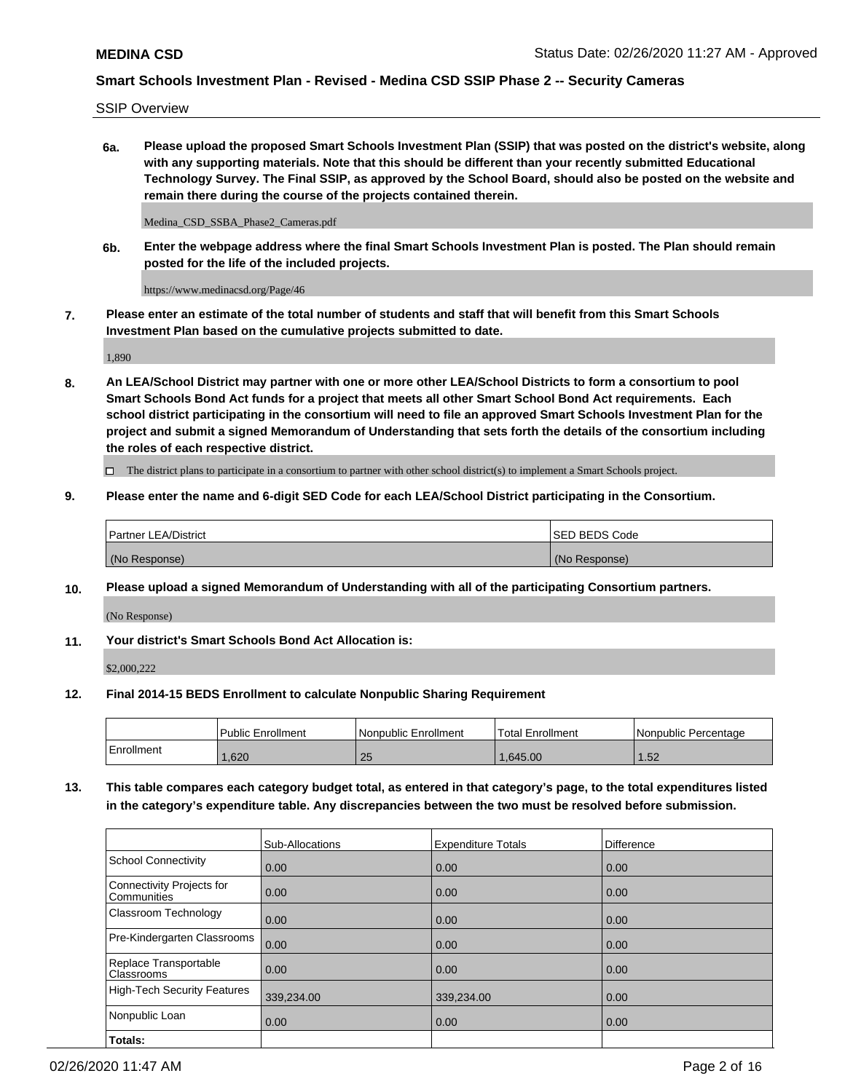SSIP Overview

**6a. Please upload the proposed Smart Schools Investment Plan (SSIP) that was posted on the district's website, along with any supporting materials. Note that this should be different than your recently submitted Educational Technology Survey. The Final SSIP, as approved by the School Board, should also be posted on the website and remain there during the course of the projects contained therein.**

Medina\_CSD\_SSBA\_Phase2\_Cameras.pdf

**6b. Enter the webpage address where the final Smart Schools Investment Plan is posted. The Plan should remain posted for the life of the included projects.**

https://www.medinacsd.org/Page/46

**7. Please enter an estimate of the total number of students and staff that will benefit from this Smart Schools Investment Plan based on the cumulative projects submitted to date.**

1,890

**8. An LEA/School District may partner with one or more other LEA/School Districts to form a consortium to pool Smart Schools Bond Act funds for a project that meets all other Smart School Bond Act requirements. Each school district participating in the consortium will need to file an approved Smart Schools Investment Plan for the project and submit a signed Memorandum of Understanding that sets forth the details of the consortium including the roles of each respective district.**

 $\Box$  The district plans to participate in a consortium to partner with other school district(s) to implement a Smart Schools project.

### **9. Please enter the name and 6-digit SED Code for each LEA/School District participating in the Consortium.**

| Partner LEA/District | ISED BEDS Code |
|----------------------|----------------|
| (No Response)        | (No Response)  |

## **10. Please upload a signed Memorandum of Understanding with all of the participating Consortium partners.**

(No Response)

**11. Your district's Smart Schools Bond Act Allocation is:**

\$2,000,222

#### **12. Final 2014-15 BEDS Enrollment to calculate Nonpublic Sharing Requirement**

|            | Public Enrollment | Nonpublic Enrollment | <b>Total Enrollment</b> | I Nonpublic Percentage |
|------------|-------------------|----------------------|-------------------------|------------------------|
| Enrollment | .620              | 25                   | .645.00                 | 1.52                   |

**13. This table compares each category budget total, as entered in that category's page, to the total expenditures listed in the category's expenditure table. Any discrepancies between the two must be resolved before submission.**

|                                          | Sub-Allocations | <b>Expenditure Totals</b> | Difference |
|------------------------------------------|-----------------|---------------------------|------------|
| <b>School Connectivity</b>               | 0.00            | 0.00                      | 0.00       |
| Connectivity Projects for<br>Communities | 0.00            | 0.00                      | 0.00       |
| Classroom Technology                     | 0.00            | 0.00                      | 0.00       |
| Pre-Kindergarten Classrooms              | 0.00            | 0.00                      | 0.00       |
| Replace Transportable<br>Classrooms      | 0.00            | 0.00                      | 0.00       |
| <b>High-Tech Security Features</b>       | 339,234.00      | 339,234.00                | 0.00       |
| Nonpublic Loan                           | 0.00            | 0.00                      | 0.00       |
| Totals:                                  |                 |                           |            |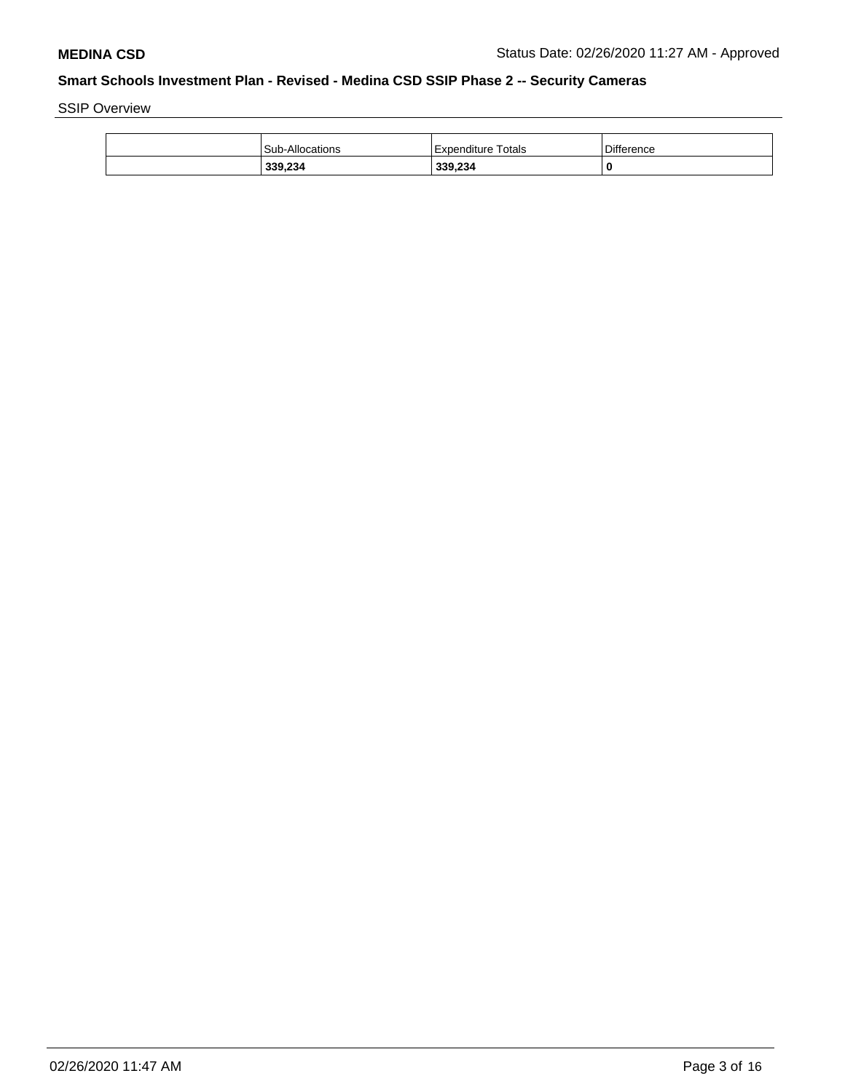SSIP Overview

| Sub-Allocations | Expenditure Totals | <b>Difference</b> |
|-----------------|--------------------|-------------------|
| 339,234         | 339,234            |                   |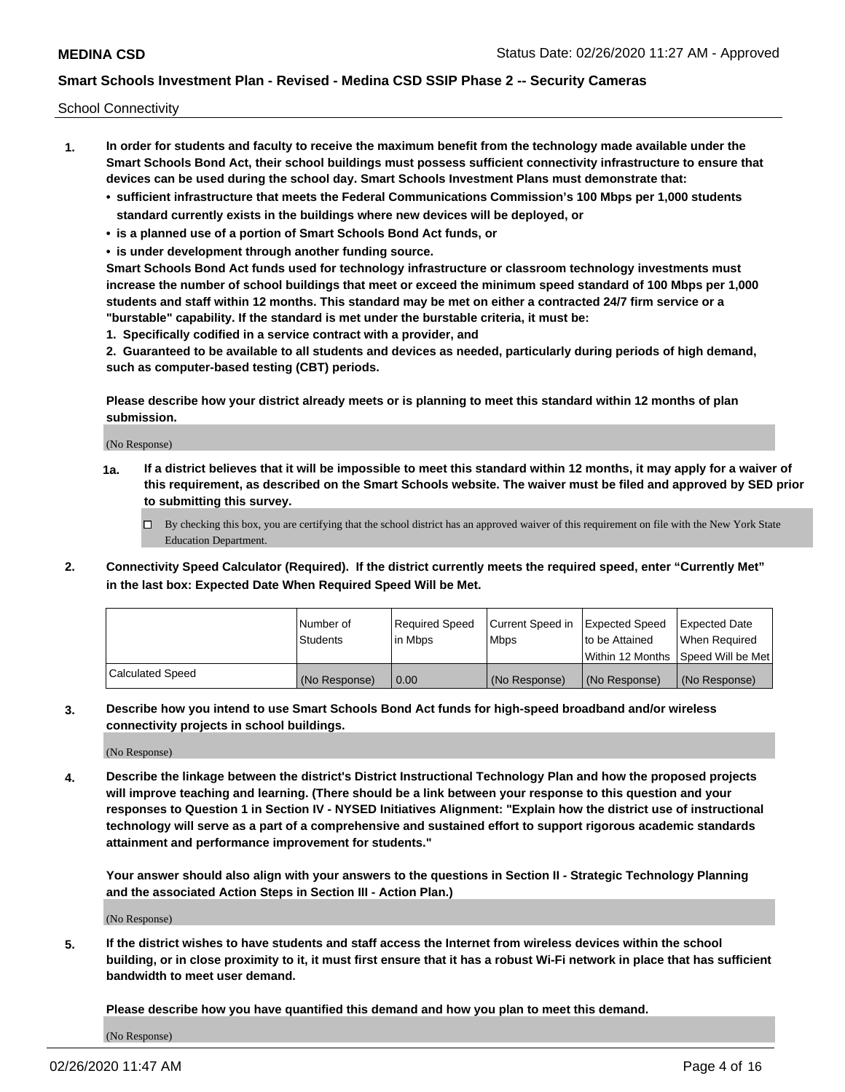School Connectivity

- **1. In order for students and faculty to receive the maximum benefit from the technology made available under the Smart Schools Bond Act, their school buildings must possess sufficient connectivity infrastructure to ensure that devices can be used during the school day. Smart Schools Investment Plans must demonstrate that:**
	- **• sufficient infrastructure that meets the Federal Communications Commission's 100 Mbps per 1,000 students standard currently exists in the buildings where new devices will be deployed, or**
	- **• is a planned use of a portion of Smart Schools Bond Act funds, or**
	- **• is under development through another funding source.**

**Smart Schools Bond Act funds used for technology infrastructure or classroom technology investments must increase the number of school buildings that meet or exceed the minimum speed standard of 100 Mbps per 1,000 students and staff within 12 months. This standard may be met on either a contracted 24/7 firm service or a "burstable" capability. If the standard is met under the burstable criteria, it must be:**

**1. Specifically codified in a service contract with a provider, and**

**2. Guaranteed to be available to all students and devices as needed, particularly during periods of high demand, such as computer-based testing (CBT) periods.**

**Please describe how your district already meets or is planning to meet this standard within 12 months of plan submission.**

(No Response)

**1a. If a district believes that it will be impossible to meet this standard within 12 months, it may apply for a waiver of this requirement, as described on the Smart Schools website. The waiver must be filed and approved by SED prior to submitting this survey.**

 $\Box$  By checking this box, you are certifying that the school district has an approved waiver of this requirement on file with the New York State Education Department.

**2. Connectivity Speed Calculator (Required). If the district currently meets the required speed, enter "Currently Met" in the last box: Expected Date When Required Speed Will be Met.**

|                  | l Number of     | Required Speed | Current Speed in | Expected Speed  | Expected Date                           |
|------------------|-----------------|----------------|------------------|-----------------|-----------------------------------------|
|                  | <b>Students</b> | In Mbps        | l Mbps           | to be Attained  | When Required                           |
|                  |                 |                |                  |                 | l Within 12 Months ISpeed Will be Met l |
| Calculated Speed | (No Response)   | 0.00           | (No Response)    | l (No Response) | l (No Response)                         |

**3. Describe how you intend to use Smart Schools Bond Act funds for high-speed broadband and/or wireless connectivity projects in school buildings.**

(No Response)

**4. Describe the linkage between the district's District Instructional Technology Plan and how the proposed projects will improve teaching and learning. (There should be a link between your response to this question and your responses to Question 1 in Section IV - NYSED Initiatives Alignment: "Explain how the district use of instructional technology will serve as a part of a comprehensive and sustained effort to support rigorous academic standards attainment and performance improvement for students."** 

**Your answer should also align with your answers to the questions in Section II - Strategic Technology Planning and the associated Action Steps in Section III - Action Plan.)**

(No Response)

**5. If the district wishes to have students and staff access the Internet from wireless devices within the school building, or in close proximity to it, it must first ensure that it has a robust Wi-Fi network in place that has sufficient bandwidth to meet user demand.**

**Please describe how you have quantified this demand and how you plan to meet this demand.**

(No Response)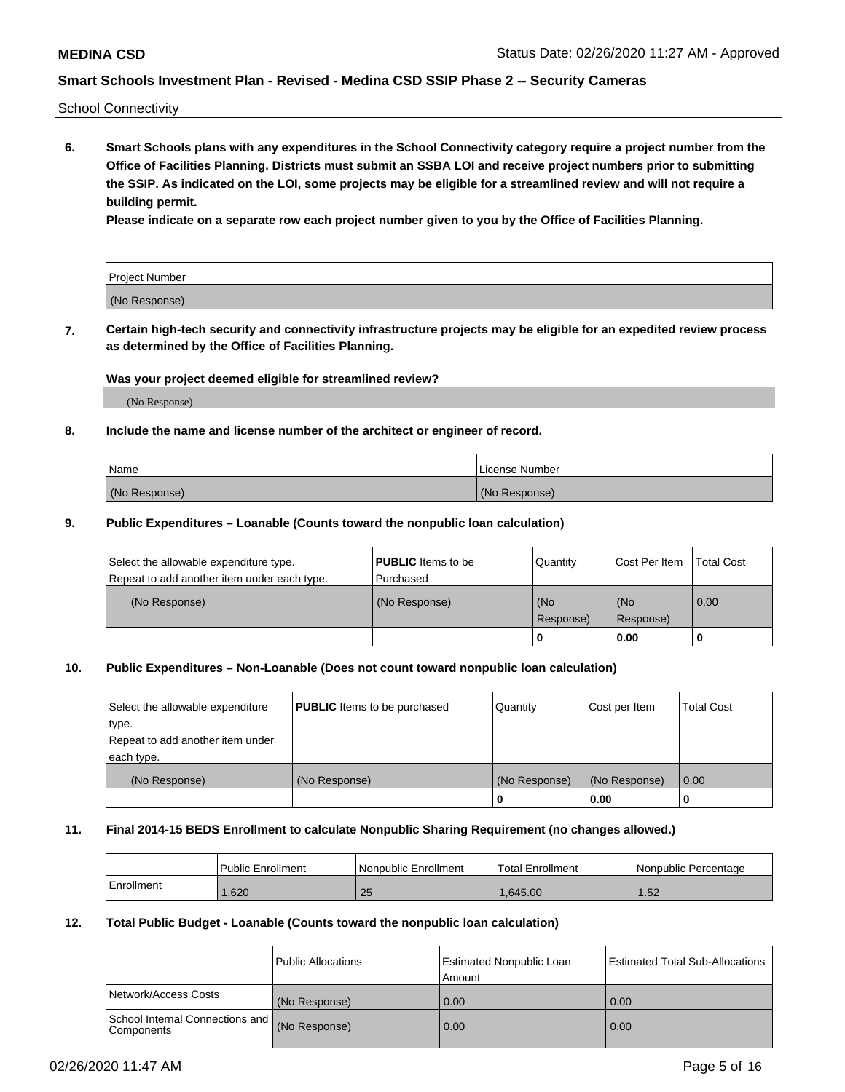School Connectivity

**6. Smart Schools plans with any expenditures in the School Connectivity category require a project number from the Office of Facilities Planning. Districts must submit an SSBA LOI and receive project numbers prior to submitting the SSIP. As indicated on the LOI, some projects may be eligible for a streamlined review and will not require a building permit.**

**Please indicate on a separate row each project number given to you by the Office of Facilities Planning.**

| Project Number |  |
|----------------|--|
| (No Response)  |  |

**7. Certain high-tech security and connectivity infrastructure projects may be eligible for an expedited review process as determined by the Office of Facilities Planning.**

## **Was your project deemed eligible for streamlined review?**

(No Response)

### **8. Include the name and license number of the architect or engineer of record.**

| Name          | License Number |
|---------------|----------------|
| (No Response) | (No Response)  |

### **9. Public Expenditures – Loanable (Counts toward the nonpublic loan calculation)**

| Select the allowable expenditure type.<br>Repeat to add another item under each type. | <b>PUBLIC</b> Items to be<br>l Purchased | Quantity         | l Cost Per Item  | <b>Total Cost</b> |
|---------------------------------------------------------------------------------------|------------------------------------------|------------------|------------------|-------------------|
| (No Response)                                                                         | (No Response)                            | (No<br>Response) | (No<br>Response) | 0.00              |
|                                                                                       |                                          | 0                | 0.00             |                   |

## **10. Public Expenditures – Non-Loanable (Does not count toward nonpublic loan calculation)**

| Select the allowable expenditure<br>type.<br>Repeat to add another item under<br>each type. | <b>PUBLIC</b> Items to be purchased | Quantity      | Cost per Item | <b>Total Cost</b> |
|---------------------------------------------------------------------------------------------|-------------------------------------|---------------|---------------|-------------------|
| (No Response)                                                                               | (No Response)                       | (No Response) | (No Response) | 0.00              |
|                                                                                             |                                     |               | 0.00          |                   |

#### **11. Final 2014-15 BEDS Enrollment to calculate Nonpublic Sharing Requirement (no changes allowed.)**

|            | l Public Enrollment | Nonpublic Enrollment | 'Total Enrollment | l Nonpublic Percentage |
|------------|---------------------|----------------------|-------------------|------------------------|
| Enrollment | ,620                | つに<br>Zu             | .645.00           | .52                    |

### **12. Total Public Budget - Loanable (Counts toward the nonpublic loan calculation)**

|                                               | Public Allocations | <b>Estimated Nonpublic Loan</b><br>Amount | Estimated Total Sub-Allocations |
|-----------------------------------------------|--------------------|-------------------------------------------|---------------------------------|
| Network/Access Costs                          | (No Response)      | 0.00                                      | 0.00                            |
| School Internal Connections and<br>Components | (No Response)      | 0.00                                      | 0.00                            |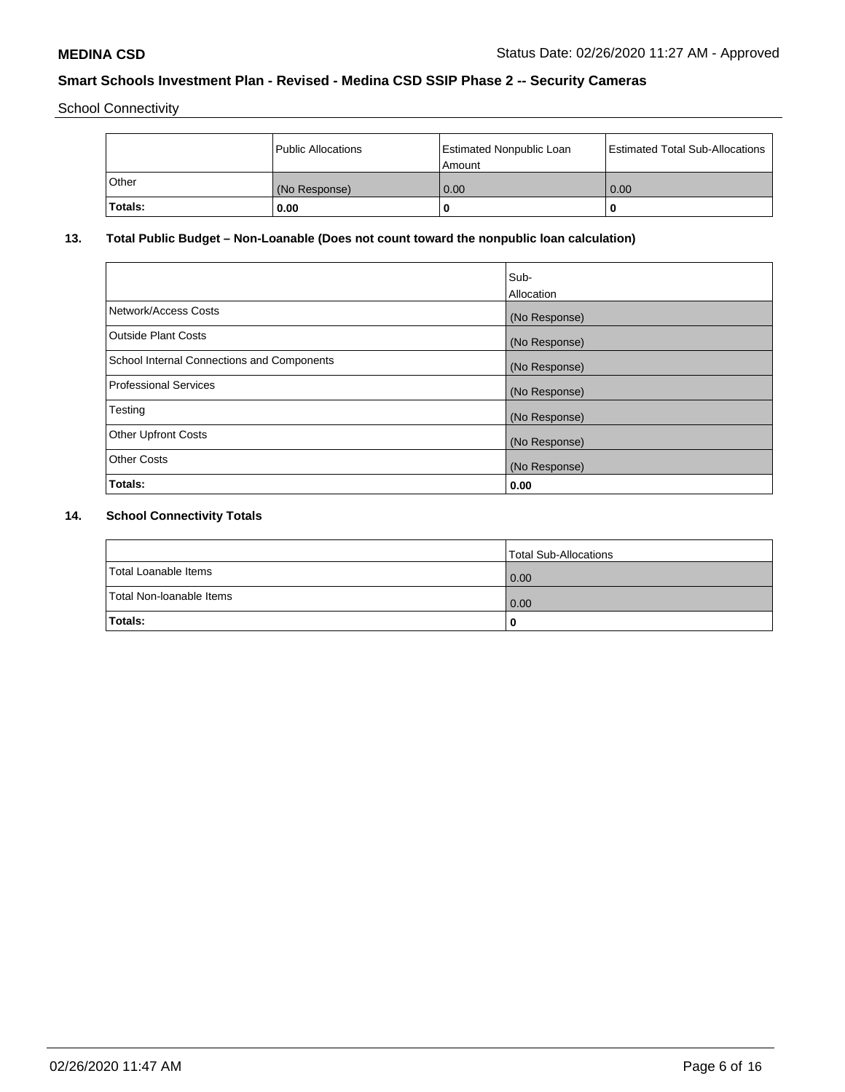School Connectivity

|              | Public Allocations | <b>Estimated Nonpublic Loan</b><br>Amount | <b>Estimated Total Sub-Allocations</b> |
|--------------|--------------------|-------------------------------------------|----------------------------------------|
| <b>Other</b> | (No Response)      | 0.00                                      | 0.00                                   |
| Totals:      | 0.00               |                                           | 0                                      |

# **13. Total Public Budget – Non-Loanable (Does not count toward the nonpublic loan calculation)**

|                                            | Sub-<br>Allocation |
|--------------------------------------------|--------------------|
| Network/Access Costs                       | (No Response)      |
| <b>Outside Plant Costs</b>                 | (No Response)      |
| School Internal Connections and Components | (No Response)      |
| Professional Services                      | (No Response)      |
| Testing                                    | (No Response)      |
| <b>Other Upfront Costs</b>                 | (No Response)      |
| <b>Other Costs</b>                         | (No Response)      |
| <b>Totals:</b>                             | 0.00               |
|                                            |                    |

# **14. School Connectivity Totals**

|                          | Total Sub-Allocations |
|--------------------------|-----------------------|
| Total Loanable Items     | 0.00                  |
| Total Non-Ioanable Items | 0.00                  |
| Totals:                  | 0                     |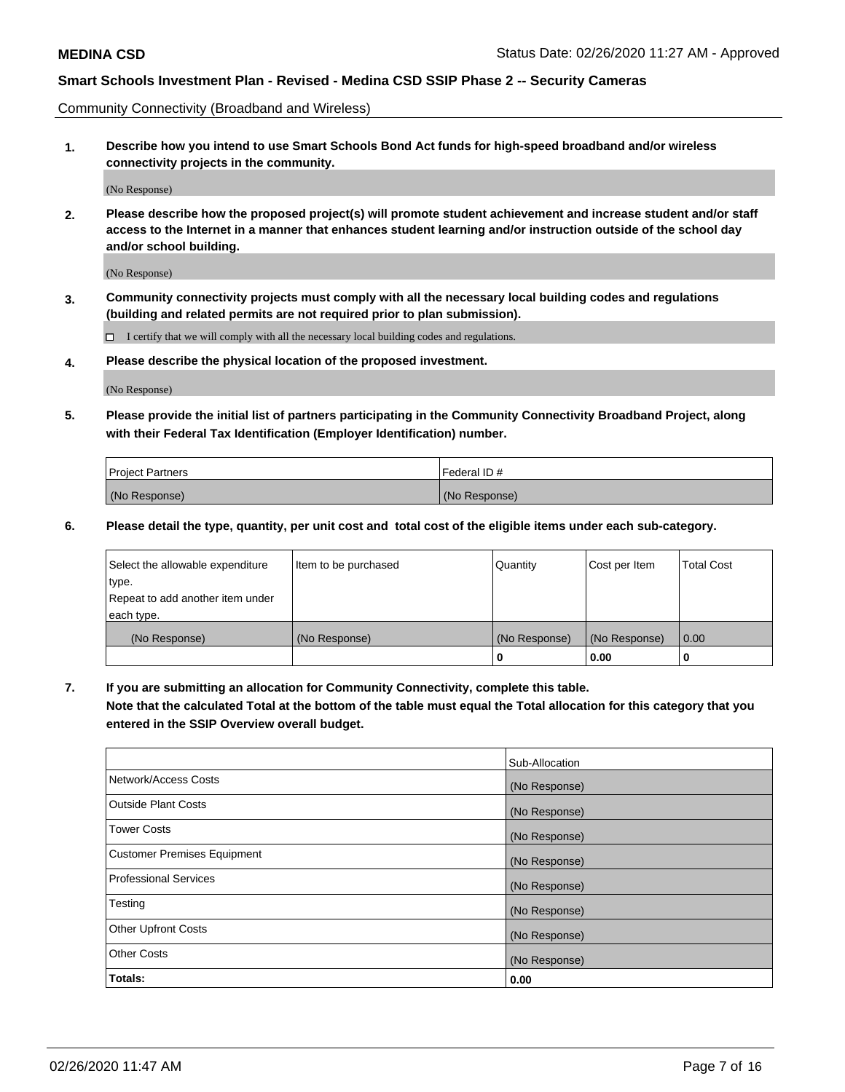Community Connectivity (Broadband and Wireless)

**1. Describe how you intend to use Smart Schools Bond Act funds for high-speed broadband and/or wireless connectivity projects in the community.**

(No Response)

**2. Please describe how the proposed project(s) will promote student achievement and increase student and/or staff access to the Internet in a manner that enhances student learning and/or instruction outside of the school day and/or school building.**

(No Response)

**3. Community connectivity projects must comply with all the necessary local building codes and regulations (building and related permits are not required prior to plan submission).**

 $\Box$  I certify that we will comply with all the necessary local building codes and regulations.

**4. Please describe the physical location of the proposed investment.**

(No Response)

**5. Please provide the initial list of partners participating in the Community Connectivity Broadband Project, along with their Federal Tax Identification (Employer Identification) number.**

| <b>Project Partners</b> | l Federal ID # |
|-------------------------|----------------|
| (No Response)           | (No Response)  |

**6. Please detail the type, quantity, per unit cost and total cost of the eligible items under each sub-category.**

| Select the allowable expenditure | Item to be purchased | Quantity      | Cost per Item | <b>Total Cost</b> |
|----------------------------------|----------------------|---------------|---------------|-------------------|
| type.                            |                      |               |               |                   |
| Repeat to add another item under |                      |               |               |                   |
| each type.                       |                      |               |               |                   |
| (No Response)                    | (No Response)        | (No Response) | (No Response) | 0.00              |
|                                  |                      | o             | 0.00          |                   |

**7. If you are submitting an allocation for Community Connectivity, complete this table.**

**Note that the calculated Total at the bottom of the table must equal the Total allocation for this category that you entered in the SSIP Overview overall budget.**

|                                    | Sub-Allocation |
|------------------------------------|----------------|
| Network/Access Costs               | (No Response)  |
| Outside Plant Costs                | (No Response)  |
| <b>Tower Costs</b>                 | (No Response)  |
| <b>Customer Premises Equipment</b> | (No Response)  |
| <b>Professional Services</b>       | (No Response)  |
| Testing                            | (No Response)  |
| <b>Other Upfront Costs</b>         | (No Response)  |
| <b>Other Costs</b>                 | (No Response)  |
| Totals:                            | 0.00           |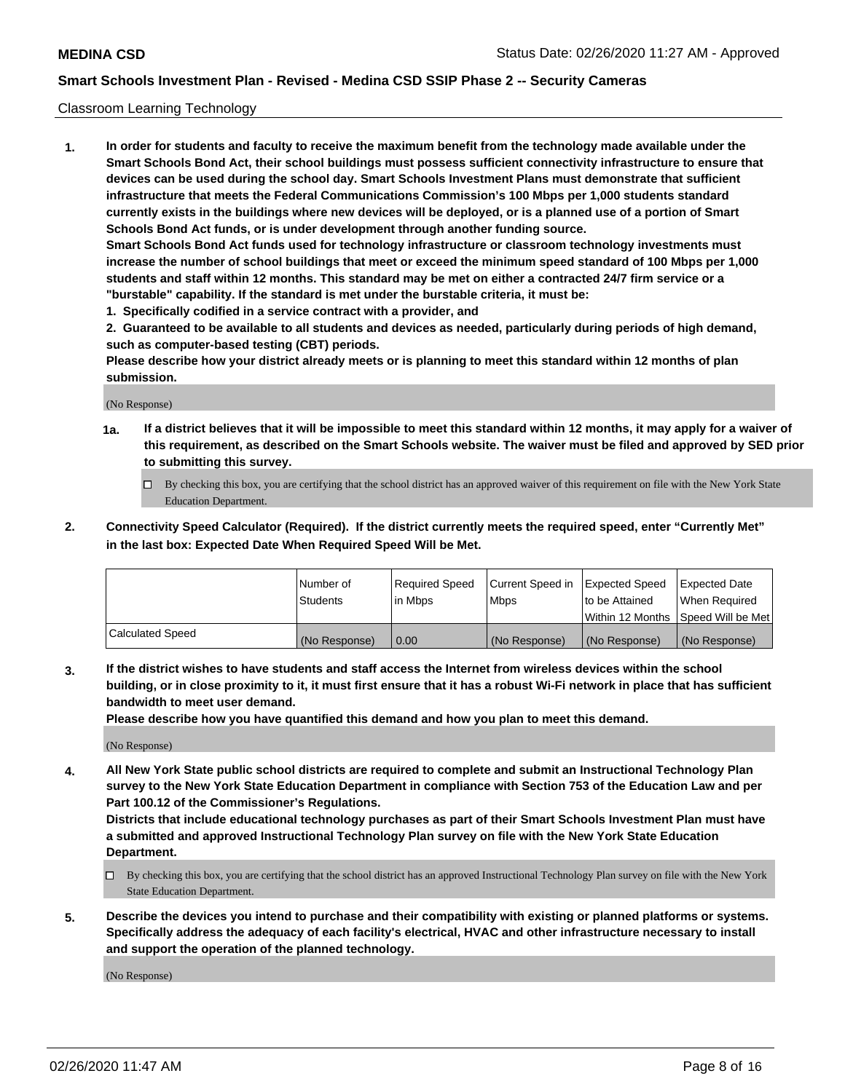## Classroom Learning Technology

**1. In order for students and faculty to receive the maximum benefit from the technology made available under the Smart Schools Bond Act, their school buildings must possess sufficient connectivity infrastructure to ensure that devices can be used during the school day. Smart Schools Investment Plans must demonstrate that sufficient infrastructure that meets the Federal Communications Commission's 100 Mbps per 1,000 students standard currently exists in the buildings where new devices will be deployed, or is a planned use of a portion of Smart Schools Bond Act funds, or is under development through another funding source. Smart Schools Bond Act funds used for technology infrastructure or classroom technology investments must increase the number of school buildings that meet or exceed the minimum speed standard of 100 Mbps per 1,000 students and staff within 12 months. This standard may be met on either a contracted 24/7 firm service or a "burstable" capability. If the standard is met under the burstable criteria, it must be:**

**1. Specifically codified in a service contract with a provider, and**

**2. Guaranteed to be available to all students and devices as needed, particularly during periods of high demand, such as computer-based testing (CBT) periods.**

**Please describe how your district already meets or is planning to meet this standard within 12 months of plan submission.**

(No Response)

- **1a. If a district believes that it will be impossible to meet this standard within 12 months, it may apply for a waiver of this requirement, as described on the Smart Schools website. The waiver must be filed and approved by SED prior to submitting this survey.**
	- By checking this box, you are certifying that the school district has an approved waiver of this requirement on file with the New York State Education Department.
- **2. Connectivity Speed Calculator (Required). If the district currently meets the required speed, enter "Currently Met" in the last box: Expected Date When Required Speed Will be Met.**

|                         | Number of     | Required Speed | Current Speed in | Expected Speed | <b>Expected Date</b>                 |
|-------------------------|---------------|----------------|------------------|----------------|--------------------------------------|
|                         | Students      | l in Mbps      | <b>Mbps</b>      | to be Attained | When Reauired                        |
|                         |               |                |                  |                | Within 12 Months 1Speed Will be Met1 |
| <b>Calculated Speed</b> | (No Response) | 0.00           | (No Response)    | (No Response)  | (No Response)                        |

**3. If the district wishes to have students and staff access the Internet from wireless devices within the school building, or in close proximity to it, it must first ensure that it has a robust Wi-Fi network in place that has sufficient bandwidth to meet user demand.**

**Please describe how you have quantified this demand and how you plan to meet this demand.**

(No Response)

**4. All New York State public school districts are required to complete and submit an Instructional Technology Plan survey to the New York State Education Department in compliance with Section 753 of the Education Law and per Part 100.12 of the Commissioner's Regulations.**

**Districts that include educational technology purchases as part of their Smart Schools Investment Plan must have a submitted and approved Instructional Technology Plan survey on file with the New York State Education Department.**

- By checking this box, you are certifying that the school district has an approved Instructional Technology Plan survey on file with the New York State Education Department.
- **5. Describe the devices you intend to purchase and their compatibility with existing or planned platforms or systems. Specifically address the adequacy of each facility's electrical, HVAC and other infrastructure necessary to install and support the operation of the planned technology.**

(No Response)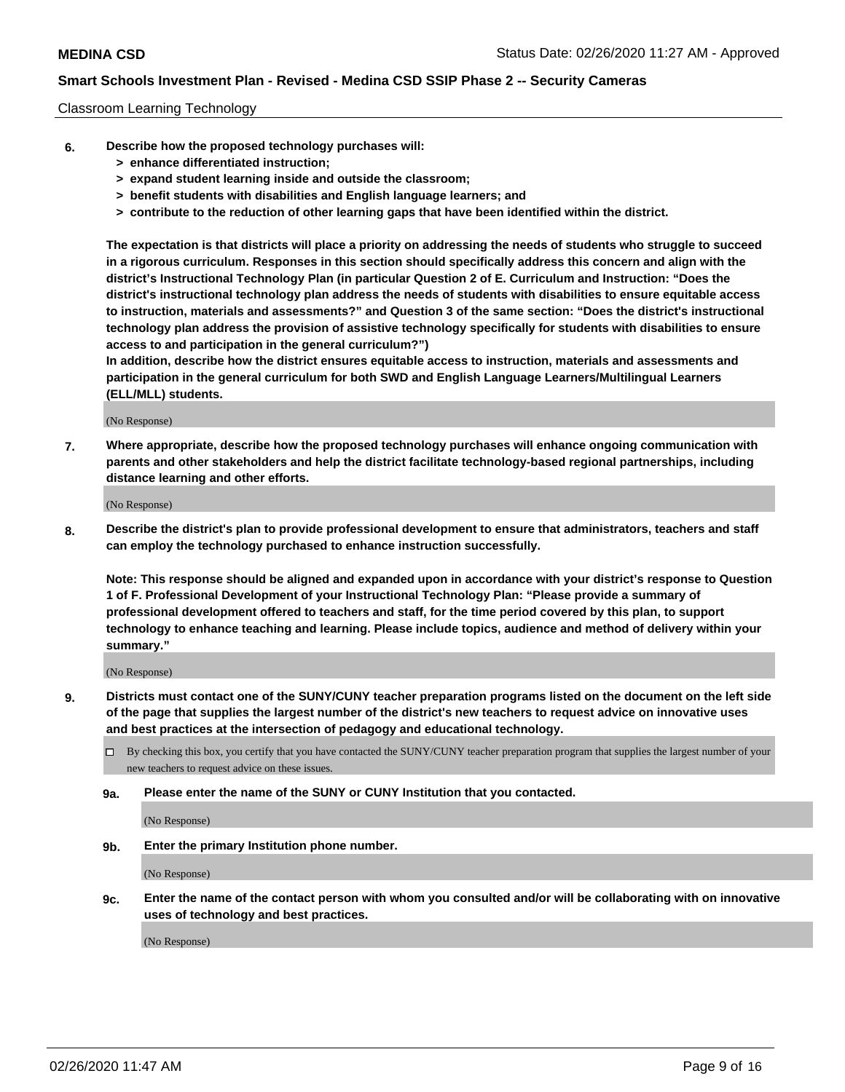#### Classroom Learning Technology

- **6. Describe how the proposed technology purchases will:**
	- **> enhance differentiated instruction;**
	- **> expand student learning inside and outside the classroom;**
	- **> benefit students with disabilities and English language learners; and**
	- **> contribute to the reduction of other learning gaps that have been identified within the district.**

**The expectation is that districts will place a priority on addressing the needs of students who struggle to succeed in a rigorous curriculum. Responses in this section should specifically address this concern and align with the district's Instructional Technology Plan (in particular Question 2 of E. Curriculum and Instruction: "Does the district's instructional technology plan address the needs of students with disabilities to ensure equitable access to instruction, materials and assessments?" and Question 3 of the same section: "Does the district's instructional technology plan address the provision of assistive technology specifically for students with disabilities to ensure access to and participation in the general curriculum?")**

**In addition, describe how the district ensures equitable access to instruction, materials and assessments and participation in the general curriculum for both SWD and English Language Learners/Multilingual Learners (ELL/MLL) students.**

(No Response)

**7. Where appropriate, describe how the proposed technology purchases will enhance ongoing communication with parents and other stakeholders and help the district facilitate technology-based regional partnerships, including distance learning and other efforts.**

(No Response)

**8. Describe the district's plan to provide professional development to ensure that administrators, teachers and staff can employ the technology purchased to enhance instruction successfully.**

**Note: This response should be aligned and expanded upon in accordance with your district's response to Question 1 of F. Professional Development of your Instructional Technology Plan: "Please provide a summary of professional development offered to teachers and staff, for the time period covered by this plan, to support technology to enhance teaching and learning. Please include topics, audience and method of delivery within your summary."**

(No Response)

- **9. Districts must contact one of the SUNY/CUNY teacher preparation programs listed on the document on the left side of the page that supplies the largest number of the district's new teachers to request advice on innovative uses and best practices at the intersection of pedagogy and educational technology.**
	- By checking this box, you certify that you have contacted the SUNY/CUNY teacher preparation program that supplies the largest number of your new teachers to request advice on these issues.
	- **9a. Please enter the name of the SUNY or CUNY Institution that you contacted.**

(No Response)

**9b. Enter the primary Institution phone number.**

(No Response)

**9c. Enter the name of the contact person with whom you consulted and/or will be collaborating with on innovative uses of technology and best practices.**

(No Response)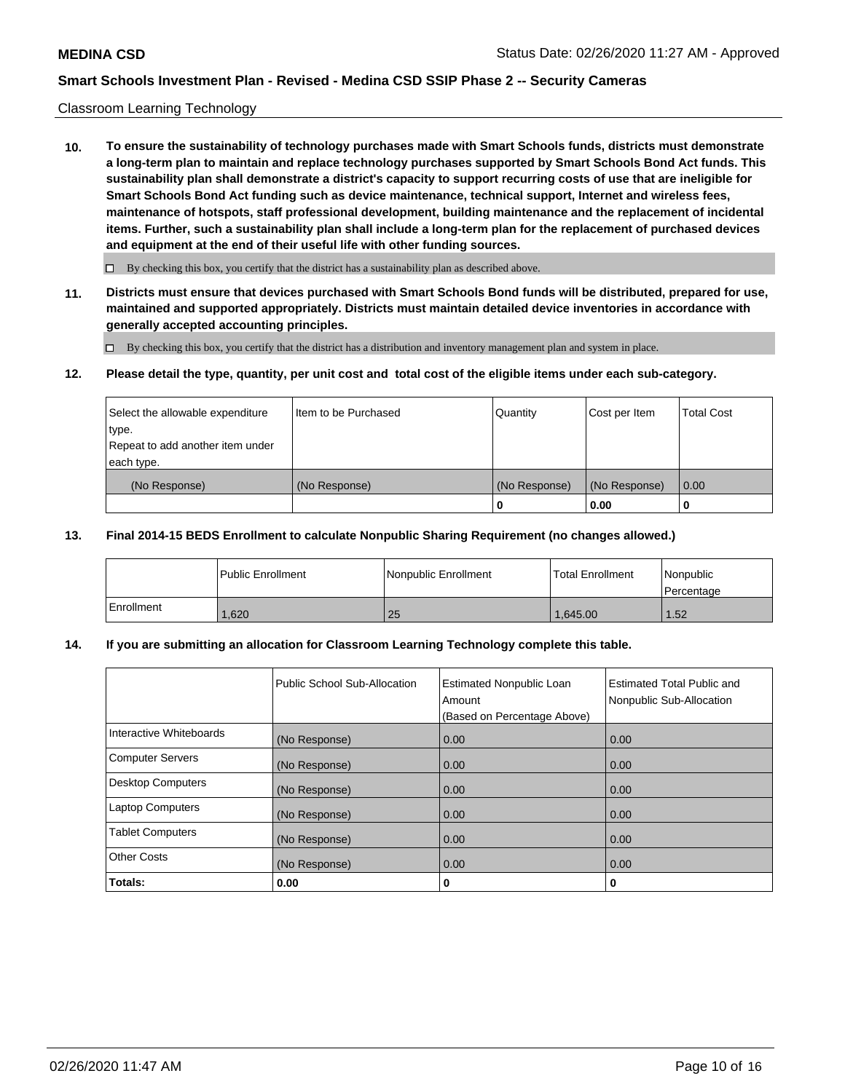### Classroom Learning Technology

**10. To ensure the sustainability of technology purchases made with Smart Schools funds, districts must demonstrate a long-term plan to maintain and replace technology purchases supported by Smart Schools Bond Act funds. This sustainability plan shall demonstrate a district's capacity to support recurring costs of use that are ineligible for Smart Schools Bond Act funding such as device maintenance, technical support, Internet and wireless fees, maintenance of hotspots, staff professional development, building maintenance and the replacement of incidental items. Further, such a sustainability plan shall include a long-term plan for the replacement of purchased devices and equipment at the end of their useful life with other funding sources.**

 $\Box$  By checking this box, you certify that the district has a sustainability plan as described above.

**11. Districts must ensure that devices purchased with Smart Schools Bond funds will be distributed, prepared for use, maintained and supported appropriately. Districts must maintain detailed device inventories in accordance with generally accepted accounting principles.**

By checking this box, you certify that the district has a distribution and inventory management plan and system in place.

#### **12. Please detail the type, quantity, per unit cost and total cost of the eligible items under each sub-category.**

| Select the allowable expenditure<br>type.      | Item to be Purchased | Quantity      | Cost per Item | <b>Total Cost</b> |
|------------------------------------------------|----------------------|---------------|---------------|-------------------|
| Repeat to add another item under<br>each type. |                      |               |               |                   |
| (No Response)                                  | (No Response)        | (No Response) | (No Response) | 0.00              |
|                                                |                      |               | 0.00          |                   |

### **13. Final 2014-15 BEDS Enrollment to calculate Nonpublic Sharing Requirement (no changes allowed.)**

|            | l Public Enrollment | <b>Nonpublic Enrollment</b> | <b>Total Enrollment</b> | Nonpublic<br>l Percentage |
|------------|---------------------|-----------------------------|-------------------------|---------------------------|
| Enrollment | .620                | 25                          | 1.645.00                | 1.52                      |

## **14. If you are submitting an allocation for Classroom Learning Technology complete this table.**

|                         | Public School Sub-Allocation | <b>Estimated Nonpublic Loan</b><br>Amount<br>(Based on Percentage Above) | Estimated Total Public and<br>Nonpublic Sub-Allocation |
|-------------------------|------------------------------|--------------------------------------------------------------------------|--------------------------------------------------------|
| Interactive Whiteboards | (No Response)                | 0.00                                                                     | 0.00                                                   |
| Computer Servers        | (No Response)                | 0.00                                                                     | 0.00                                                   |
| Desktop Computers       | (No Response)                | 0.00                                                                     | 0.00                                                   |
| <b>Laptop Computers</b> | (No Response)                | 0.00                                                                     | 0.00                                                   |
| <b>Tablet Computers</b> | (No Response)                | 0.00                                                                     | 0.00                                                   |
| Other Costs             | (No Response)                | 0.00                                                                     | 0.00                                                   |
| Totals:                 | 0.00                         | 0                                                                        | 0                                                      |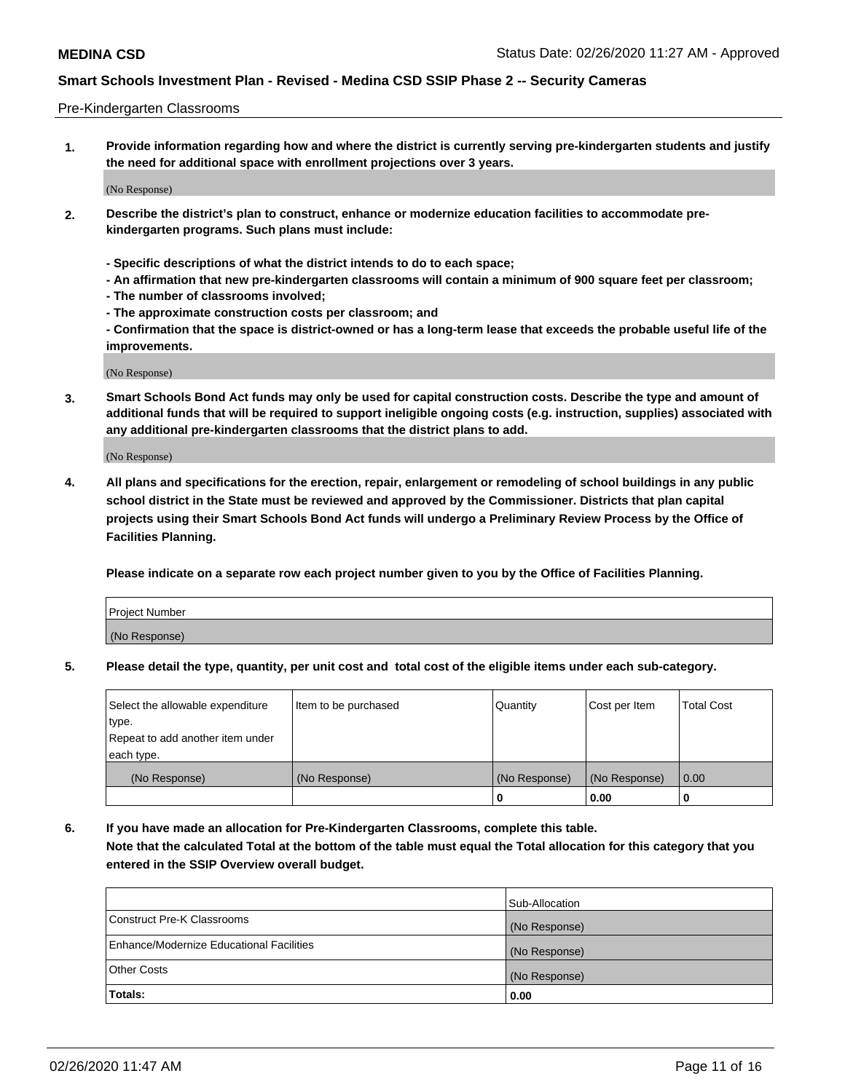#### Pre-Kindergarten Classrooms

**1. Provide information regarding how and where the district is currently serving pre-kindergarten students and justify the need for additional space with enrollment projections over 3 years.**

(No Response)

- **2. Describe the district's plan to construct, enhance or modernize education facilities to accommodate prekindergarten programs. Such plans must include:**
	- **Specific descriptions of what the district intends to do to each space;**
	- **An affirmation that new pre-kindergarten classrooms will contain a minimum of 900 square feet per classroom;**
	- **The number of classrooms involved;**
	- **The approximate construction costs per classroom; and**
	- **Confirmation that the space is district-owned or has a long-term lease that exceeds the probable useful life of the improvements.**

(No Response)

**3. Smart Schools Bond Act funds may only be used for capital construction costs. Describe the type and amount of additional funds that will be required to support ineligible ongoing costs (e.g. instruction, supplies) associated with any additional pre-kindergarten classrooms that the district plans to add.**

(No Response)

**4. All plans and specifications for the erection, repair, enlargement or remodeling of school buildings in any public school district in the State must be reviewed and approved by the Commissioner. Districts that plan capital projects using their Smart Schools Bond Act funds will undergo a Preliminary Review Process by the Office of Facilities Planning.**

**Please indicate on a separate row each project number given to you by the Office of Facilities Planning.**

| Project Number |  |
|----------------|--|
| (No Response)  |  |
|                |  |

**5. Please detail the type, quantity, per unit cost and total cost of the eligible items under each sub-category.**

| Select the allowable expenditure | Item to be purchased | Quantity      | Cost per Item | <b>Total Cost</b> |
|----------------------------------|----------------------|---------------|---------------|-------------------|
| 'type.                           |                      |               |               |                   |
| Repeat to add another item under |                      |               |               |                   |
| each type.                       |                      |               |               |                   |
| (No Response)                    | (No Response)        | (No Response) | (No Response) | 0.00              |
|                                  |                      | U             | 0.00          |                   |

**6. If you have made an allocation for Pre-Kindergarten Classrooms, complete this table. Note that the calculated Total at the bottom of the table must equal the Total allocation for this category that you entered in the SSIP Overview overall budget.**

|                                          | Sub-Allocation |
|------------------------------------------|----------------|
| Construct Pre-K Classrooms               | (No Response)  |
| Enhance/Modernize Educational Facilities | (No Response)  |
| <b>Other Costs</b>                       | (No Response)  |
| Totals:                                  | 0.00           |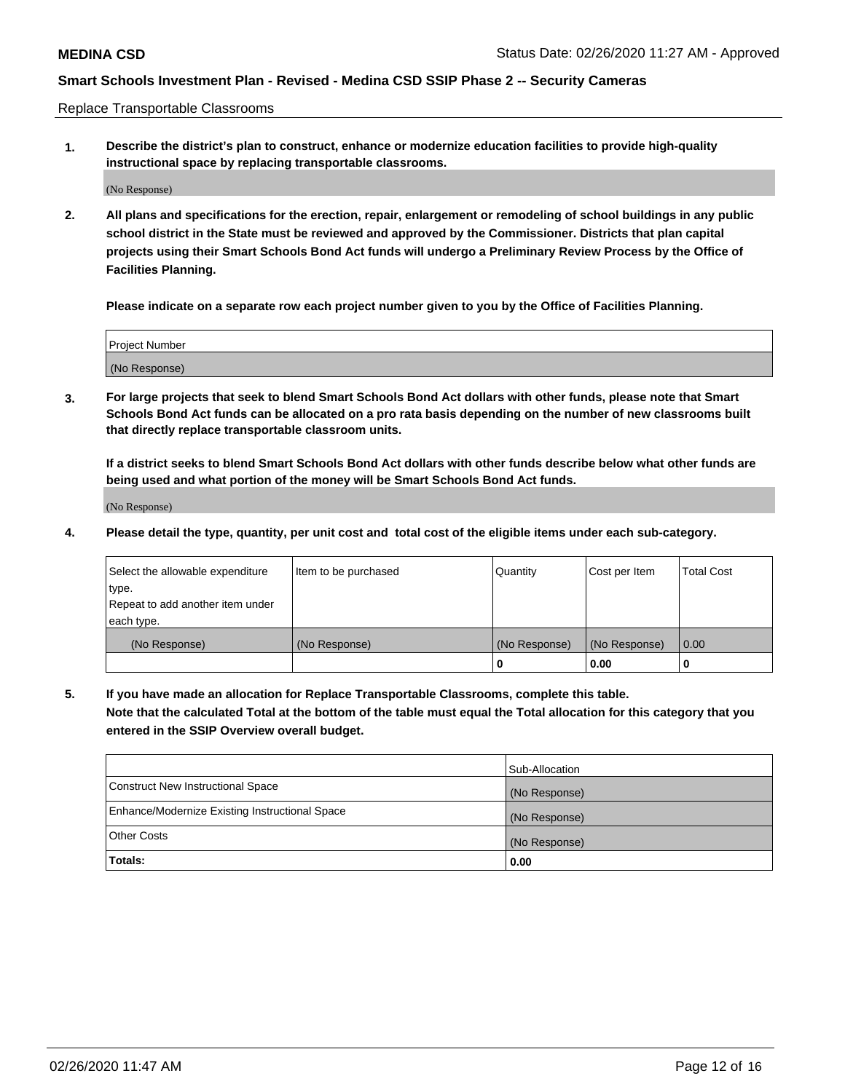Replace Transportable Classrooms

**1. Describe the district's plan to construct, enhance or modernize education facilities to provide high-quality instructional space by replacing transportable classrooms.**

(No Response)

**2. All plans and specifications for the erection, repair, enlargement or remodeling of school buildings in any public school district in the State must be reviewed and approved by the Commissioner. Districts that plan capital projects using their Smart Schools Bond Act funds will undergo a Preliminary Review Process by the Office of Facilities Planning.**

**Please indicate on a separate row each project number given to you by the Office of Facilities Planning.**

| Project Number |  |
|----------------|--|
|                |  |
|                |  |
|                |  |
| (No Response)  |  |
|                |  |
|                |  |

**3. For large projects that seek to blend Smart Schools Bond Act dollars with other funds, please note that Smart Schools Bond Act funds can be allocated on a pro rata basis depending on the number of new classrooms built that directly replace transportable classroom units.**

**If a district seeks to blend Smart Schools Bond Act dollars with other funds describe below what other funds are being used and what portion of the money will be Smart Schools Bond Act funds.**

(No Response)

**4. Please detail the type, quantity, per unit cost and total cost of the eligible items under each sub-category.**

| Select the allowable expenditure | Item to be purchased | Quantity      | Cost per Item | Total Cost |
|----------------------------------|----------------------|---------------|---------------|------------|
| ∣type.                           |                      |               |               |            |
| Repeat to add another item under |                      |               |               |            |
| each type.                       |                      |               |               |            |
| (No Response)                    | (No Response)        | (No Response) | (No Response) | 0.00       |
|                                  |                      | u             | 0.00          |            |

**5. If you have made an allocation for Replace Transportable Classrooms, complete this table. Note that the calculated Total at the bottom of the table must equal the Total allocation for this category that you entered in the SSIP Overview overall budget.**

|                                                | Sub-Allocation |
|------------------------------------------------|----------------|
| Construct New Instructional Space              | (No Response)  |
| Enhance/Modernize Existing Instructional Space | (No Response)  |
| Other Costs                                    | (No Response)  |
| Totals:                                        | 0.00           |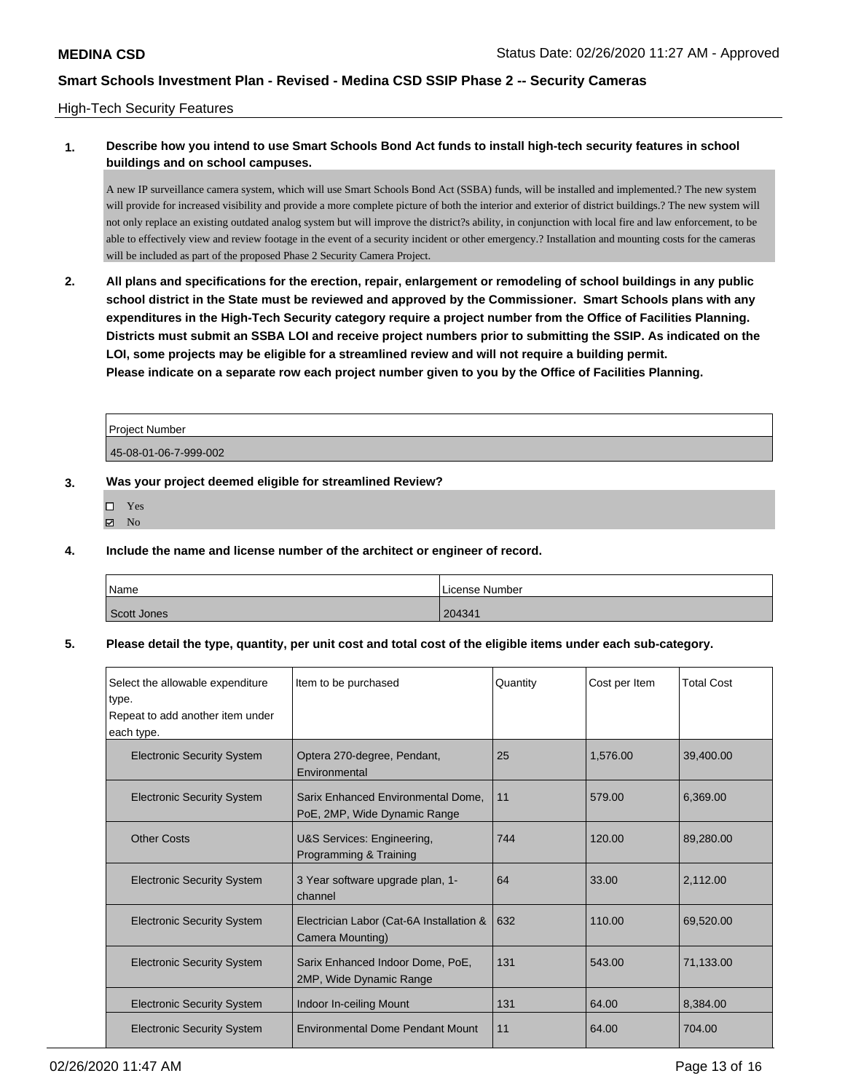### High-Tech Security Features

# **1. Describe how you intend to use Smart Schools Bond Act funds to install high-tech security features in school buildings and on school campuses.**

A new IP surveillance camera system, which will use Smart Schools Bond Act (SSBA) funds, will be installed and implemented.? The new system will provide for increased visibility and provide a more complete picture of both the interior and exterior of district buildings.? The new system will not only replace an existing outdated analog system but will improve the district?s ability, in conjunction with local fire and law enforcement, to be able to effectively view and review footage in the event of a security incident or other emergency.? Installation and mounting costs for the cameras will be included as part of the proposed Phase 2 Security Camera Project.

**2. All plans and specifications for the erection, repair, enlargement or remodeling of school buildings in any public school district in the State must be reviewed and approved by the Commissioner. Smart Schools plans with any expenditures in the High-Tech Security category require a project number from the Office of Facilities Planning. Districts must submit an SSBA LOI and receive project numbers prior to submitting the SSIP. As indicated on the LOI, some projects may be eligible for a streamlined review and will not require a building permit. Please indicate on a separate row each project number given to you by the Office of Facilities Planning.**

| l Proiect Number      |  |
|-----------------------|--|
| 45-08-01-06-7-999-002 |  |

## **3. Was your project deemed eligible for streamlined Review?**

- Yes
- $\blacksquare$  No
- **4. Include the name and license number of the architect or engineer of record.**

| Name        | License Number |
|-------------|----------------|
| Scott Jones | 204341         |

### **5. Please detail the type, quantity, per unit cost and total cost of the eligible items under each sub-category.**

| Select the allowable expenditure<br>type.<br>Repeat to add another item under<br>each type. | Item to be purchased                                               | Quantity | Cost per Item | <b>Total Cost</b> |
|---------------------------------------------------------------------------------------------|--------------------------------------------------------------------|----------|---------------|-------------------|
| <b>Electronic Security System</b>                                                           | Optera 270-degree, Pendant,<br>Environmental                       | 25       | 1,576.00      | 39,400.00         |
| <b>Electronic Security System</b>                                                           | Sarix Enhanced Environmental Dome.<br>PoE, 2MP, Wide Dynamic Range | 11       | 579.00        | 6,369.00          |
| <b>Other Costs</b>                                                                          | U&S Services: Engineering,<br>Programming & Training               | 744      | 120.00        | 89,280.00         |
| <b>Electronic Security System</b>                                                           | 3 Year software upgrade plan, 1-<br>channel                        | 64       | 33.00         | 2,112.00          |
| <b>Electronic Security System</b>                                                           | Electrician Labor (Cat-6A Installation &<br>Camera Mounting)       | 632      | 110.00        | 69.520.00         |
| <b>Electronic Security System</b>                                                           | Sarix Enhanced Indoor Dome, PoE,<br>2MP, Wide Dynamic Range        | 131      | 543.00        | 71.133.00         |
| <b>Electronic Security System</b>                                                           | Indoor In-ceiling Mount                                            | 131      | 64.00         | 8,384.00          |
| <b>Electronic Security System</b>                                                           | <b>Environmental Dome Pendant Mount</b>                            | 11       | 64.00         | 704.00            |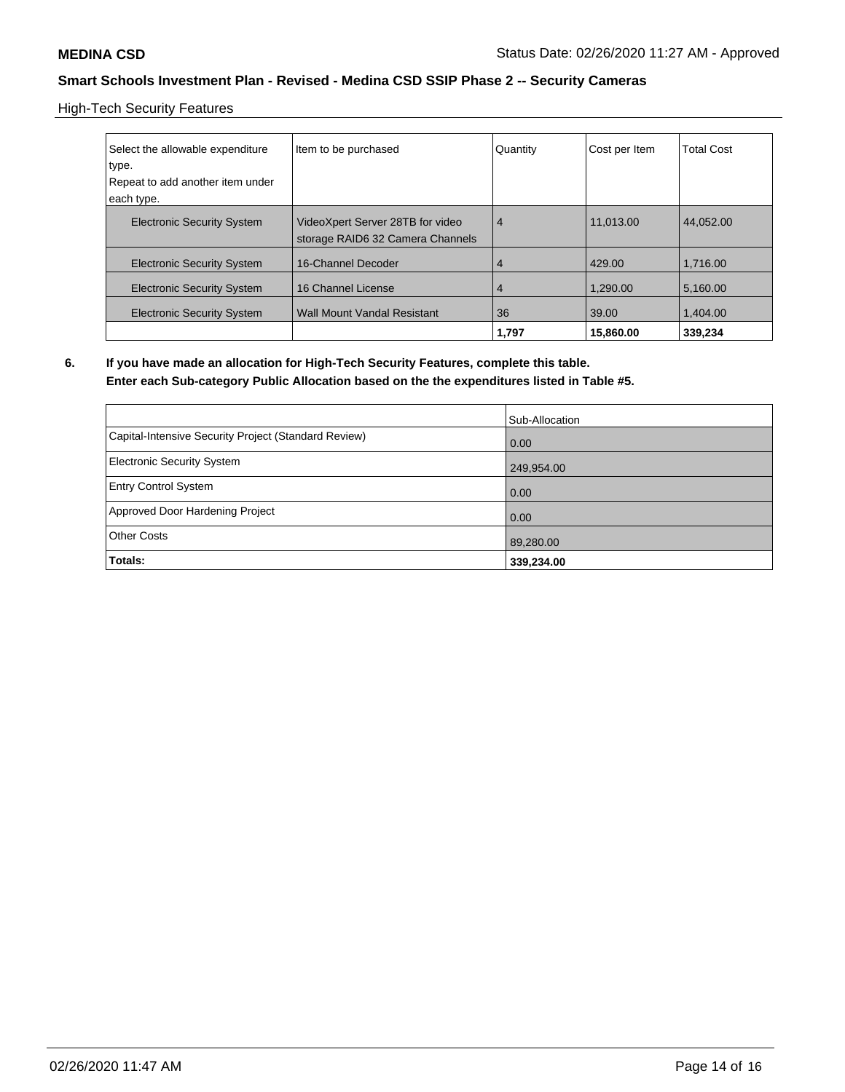High-Tech Security Features

| Select the allowable expenditure<br>type.<br>Repeat to add another item under | Item to be purchased                                                 | Quantity       | Cost per Item | <b>Total Cost</b> |
|-------------------------------------------------------------------------------|----------------------------------------------------------------------|----------------|---------------|-------------------|
| each type.                                                                    |                                                                      |                |               |                   |
| <b>Electronic Security System</b>                                             | VideoXpert Server 28TB for video<br>storage RAID6 32 Camera Channels | 4              | 11.013.00     | 44.052.00         |
| <b>Electronic Security System</b>                                             | 16-Channel Decoder                                                   | 4              | 429.00        | 1.716.00          |
| <b>Electronic Security System</b>                                             | 16 Channel License                                                   | $\overline{4}$ | 1.290.00      | 5,160.00          |
| <b>Electronic Security System</b>                                             | <b>Wall Mount Vandal Resistant</b>                                   | 36             | 39.00         | 1.404.00          |
|                                                                               |                                                                      | 1.797          | 15,860,00     | 339,234           |

# **6. If you have made an allocation for High-Tech Security Features, complete this table.**

**Enter each Sub-category Public Allocation based on the the expenditures listed in Table #5.**

|                                                      | Sub-Allocation |
|------------------------------------------------------|----------------|
| Capital-Intensive Security Project (Standard Review) | 0.00           |
| Electronic Security System                           | 249,954.00     |
| <b>Entry Control System</b>                          | 0.00           |
| Approved Door Hardening Project                      | 0.00           |
| <b>Other Costs</b>                                   | 89,280.00      |
| Totals:                                              | 339,234.00     |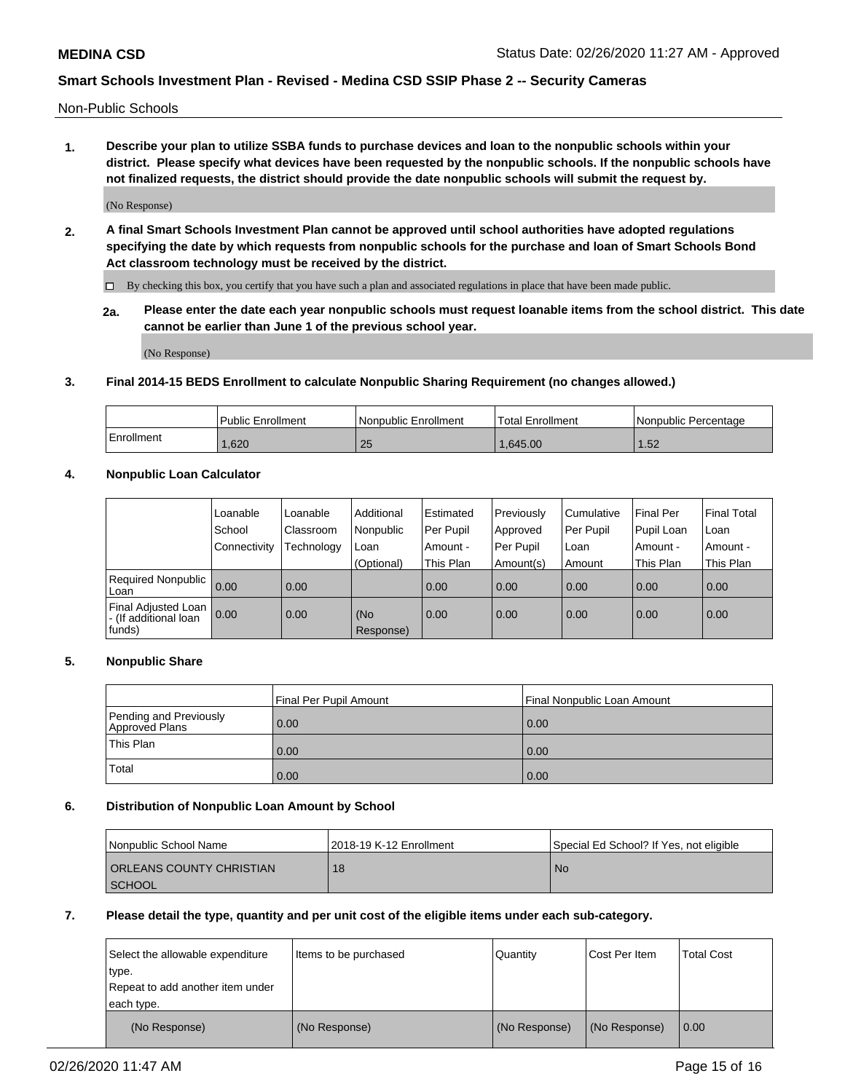Non-Public Schools

**1. Describe your plan to utilize SSBA funds to purchase devices and loan to the nonpublic schools within your district. Please specify what devices have been requested by the nonpublic schools. If the nonpublic schools have not finalized requests, the district should provide the date nonpublic schools will submit the request by.**

(No Response)

**2. A final Smart Schools Investment Plan cannot be approved until school authorities have adopted regulations specifying the date by which requests from nonpublic schools for the purchase and loan of Smart Schools Bond Act classroom technology must be received by the district.**

By checking this box, you certify that you have such a plan and associated regulations in place that have been made public.

**2a. Please enter the date each year nonpublic schools must request loanable items from the school district. This date cannot be earlier than June 1 of the previous school year.**

(No Response)

## **3. Final 2014-15 BEDS Enrollment to calculate Nonpublic Sharing Requirement (no changes allowed.)**

|            | Public Enrollment | Nonpublic Enrollment | Total Enrollment | l Nonpublic Percentage |
|------------|-------------------|----------------------|------------------|------------------------|
| Enrollment | 1,620             | 25                   | 1.645.00         | -50<br>ے ں ا           |

### **4. Nonpublic Loan Calculator**

|                                                        | Loanable     | Loanable   | Additional       | Estimated   | Previously | Cumulative | Final Per  | <b>Final Total</b> |
|--------------------------------------------------------|--------------|------------|------------------|-------------|------------|------------|------------|--------------------|
|                                                        | School       | Classroom  | Nonpublic        | l Per Pupil | Approved   | Per Pupil  | Pupil Loan | Loan               |
|                                                        | Connectivity | Technology | Loan             | Amount -    | Per Pupil  | Loan       | Amount -   | Amount -           |
|                                                        |              |            | (Optional)       | This Plan   | Amount(s)  | Amount     | This Plan  | This Plan          |
| Required Nonpublic<br>Loan                             | 0.00         | 0.00       |                  | 0.00        | 0.00       | 0.00       | 0.00       | 0.00               |
| Final Adjusted Loan<br>- (If additional loan<br>funds) | 0.00         | 0.00       | (No<br>Response) | 0.00        | 0.00       | 0.00       | 0.00       | 0.00               |

## **5. Nonpublic Share**

|                                          | Final Per Pupil Amount | l Final Nonpublic Loan Amount |
|------------------------------------------|------------------------|-------------------------------|
| Pending and Previously<br>Approved Plans | 0.00                   | 0.00                          |
| <b>This Plan</b>                         | 0.00                   | 0.00                          |
| Total                                    | 0.00                   | 0.00                          |

### **6. Distribution of Nonpublic Loan Amount by School**

| Nonpublic School Name           | 12018-19 K-12 Enrollment | Special Ed School? If Yes, not eligible |
|---------------------------------|--------------------------|-----------------------------------------|
| <b>ORLEANS COUNTY CHRISTIAN</b> | 18                       | <b>No</b>                               |
| <b>SCHOOL</b>                   |                          |                                         |

#### **7. Please detail the type, quantity and per unit cost of the eligible items under each sub-category.**

| Select the allowable expenditure<br>type.<br>Repeat to add another item under<br>each type. | Items to be purchased | Quantity      | Cost Per Item | <b>Total Cost</b> |
|---------------------------------------------------------------------------------------------|-----------------------|---------------|---------------|-------------------|
| (No Response)                                                                               | (No Response)         | (No Response) | (No Response) | 0.00              |